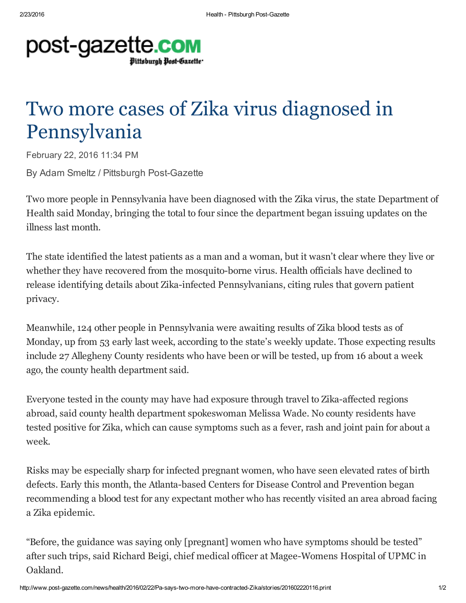

## Two more cases of Zika virus diagnosed in Pennsylvania

February 22, 2016 11:34 PM By Adam Smeltz / Pittsburgh Post-Gazette

Two more people in Pennsylvania have been diagnosed with the Zika virus, the state Department of Health said Monday, bringing the total to four since the department began issuing updates on the illness last month.

The state identified the latest patients as a man and a woman, but it wasn't clear where they live or whether they have recovered from the mosquito-borne virus. Health officials have declined to release identifying details about Zika-infected Pennsylvanians, citing rules that govern patient privacy.

Meanwhile, 124 other people in Pennsylvania were awaiting results of Zika blood tests as of Monday, up from 53 early last week, according to the state's weekly update. Those expecting results include 27 Allegheny County residents who have been or will be tested, up from 16 about a week ago, the county health department said.

Everyone tested in the county may have had exposure through travel to Zika-affected regions abroad, said county health department spokeswoman Melissa Wade. No county residents have tested positive for Zika, which can cause symptoms such as a fever, rash and joint pain for about a week.

Risks may be especially sharp for infected pregnant women, who have seen elevated rates of birth defects. Early this month, the Atlanta-based Centers for Disease Control and Prevention began recommending a blood test for any expectant mother who has recently visited an area abroad facing a Zika epidemic.

"Before, the guidance was saying only [pregnant] women who have symptoms should be tested" after such trips, said Richard Beigi, chief medical officer at Magee-Womens Hospital of UPMC in Oakland.